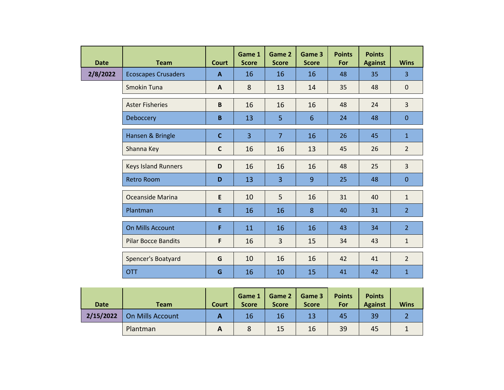| <b>Date</b> | <b>Team</b>                | <b>Court</b> | Game 1<br><b>Score</b> | Game 2<br><b>Score</b> | Game 3<br><b>Score</b> | <b>Points</b><br>For | <b>Points</b><br><b>Against</b> | <b>Wins</b>    |
|-------------|----------------------------|--------------|------------------------|------------------------|------------------------|----------------------|---------------------------------|----------------|
| 2/8/2022    | <b>Ecoscapes Crusaders</b> | $\mathbf{A}$ | 16                     | 16                     | 16                     | 48                   | 35                              | $\overline{3}$ |
|             | Smokin Tuna                | A            | 8                      | 13                     | 14                     | 35                   | 48                              | $\mathbf 0$    |
|             | <b>Aster Fisheries</b>     | B            | 16                     | 16                     | 16                     | 48                   | 24                              | $\overline{3}$ |
|             | Deboccery                  | $\mathbf B$  | 13                     | 5                      | $6\phantom{1}6$        | 24                   | 48                              | $\mathbf{0}$   |
|             | Hansen & Bringle           | $\mathbf C$  | 3                      | $\overline{7}$         | 16                     | 26                   | 45                              | $\mathbf{1}$   |
|             | Shanna Key                 | $\mathbf c$  | 16                     | 16                     | 13                     | 45                   | 26                              | $\overline{2}$ |
|             | <b>Keys Island Runners</b> | D            | 16                     | 16                     | 16                     | 48                   | 25                              | $\overline{3}$ |
|             | <b>Retro Room</b>          | D            | 13                     | $\overline{3}$         | 9                      | 25                   | 48                              | $\mathbf{0}$   |
|             | Oceanside Marina           | E            | 10                     | 5                      | 16                     | 31                   | 40                              | $\mathbf{1}$   |
|             | Plantman                   | E            | 16                     | 16                     | 8                      | 40                   | 31                              | $\overline{2}$ |
|             | <b>On Mills Account</b>    | F            | 11                     | 16                     | 16                     | 43                   | 34                              | $\overline{2}$ |
|             | <b>Pilar Bocce Bandits</b> | F            | 16                     | $\overline{3}$         | 15                     | 34                   | 43                              | $\mathbf{1}$   |
|             | Spencer's Boatyard         | G            | 10                     | 16                     | 16                     | 42                   | 41                              | $\overline{2}$ |
|             | <b>OTT</b>                 | G            | 16                     | 10                     | 15                     | 41                   | 42                              | $\mathbf{1}$   |

| <b>Date</b> | Team                    | Court | Game 1<br><b>Score</b> | Game 2<br><b>Score</b> | Game 3<br><b>Score</b> | <b>Points</b><br>For | <b>Points</b><br><b>Against</b> | <b>Wins</b> |
|-------------|-------------------------|-------|------------------------|------------------------|------------------------|----------------------|---------------------------------|-------------|
| 2/15/2022   | <b>On Mills Account</b> | А     | 16                     | 16                     | 13                     | 45                   | 39                              |             |
|             | Plantman                | А     |                        | 15                     | 16                     | 39                   | 45                              |             |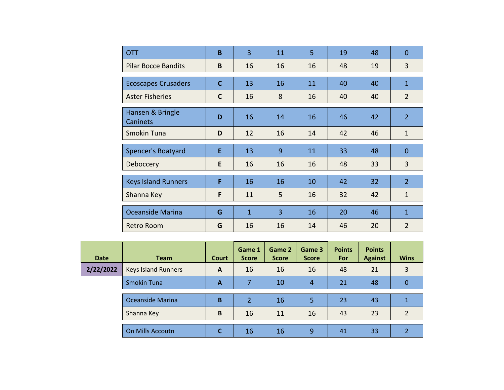| <b>OTT</b>                   | B            | $\overline{3}$ | 11             | 5  | 19 | 48 | $\overline{0}$ |
|------------------------------|--------------|----------------|----------------|----|----|----|----------------|
| <b>Pilar Bocce Bandits</b>   | B            | 16             | 16             | 16 | 48 | 19 | 3              |
| <b>Ecoscapes Crusaders</b>   | $\mathbf C$  | 13             | 16             | 11 | 40 | 40 | $\mathbf{1}$   |
| <b>Aster Fisheries</b>       | $\mathsf{C}$ | 16             | 8              | 16 | 40 | 40 | $\overline{2}$ |
| Hansen & Bringle<br>Caninets | D            | 16             | 14             | 16 | 46 | 42 | $\overline{2}$ |
| Smokin Tuna                  | D            | 12             | 16             | 14 | 42 | 46 | $\mathbf{1}$   |
| Spencer's Boatyard           | E            | 13             | 9              | 11 | 33 | 48 | $\Omega$       |
|                              |              |                |                |    |    |    |                |
| Deboccery                    | E            | 16             | 16             | 16 | 48 | 33 | $\overline{3}$ |
| <b>Keys Island Runners</b>   | F            | 16             | 16             | 10 | 42 | 32 | $\overline{2}$ |
| Shanna Key                   | F            | 11             | 5              | 16 | 32 | 42 | $\mathbf{1}$   |
| Oceanside Marina             | G            | $\mathbf{1}$   | $\overline{3}$ | 16 | 20 | 46 | $\mathbf{1}$   |

| <b>Date</b> | <b>Team</b>                | Court        | Game 1<br><b>Score</b> | Game 2<br><b>Score</b> | Game 3<br><b>Score</b> | <b>Points</b><br>For | <b>Points</b><br><b>Against</b> | <b>Wins</b>   |
|-------------|----------------------------|--------------|------------------------|------------------------|------------------------|----------------------|---------------------------------|---------------|
| 2/22/2022   | <b>Keys Island Runners</b> | $\mathbf{A}$ | 16                     | 16                     | 16                     | 48                   | 21                              | 3             |
|             | <b>Smokin Tuna</b>         | A            | 7                      | 10                     | 4                      | 21                   | 48                              | 0             |
|             | Oceanside Marina           | B            | $\overline{2}$         | 16                     | 5                      | 23                   | 43                              |               |
|             | Shanna Key                 | B            | 16                     | 11                     | 16                     | 43                   | 23                              | $\mathcal{P}$ |
|             | On Mills Accoutn           |              | 16                     | 16                     | 9                      | 41                   | 33                              |               |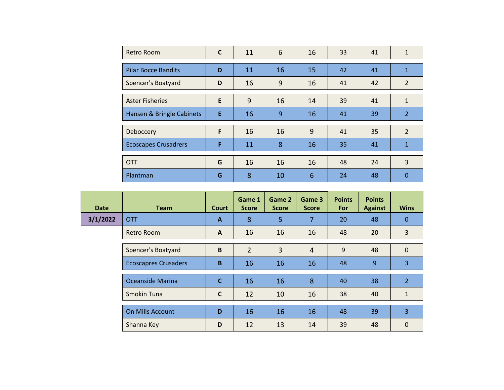| Retro Room                  | C | 11 | 6  | 16 | 33 | 41 | $\mathbf{1}$   |
|-----------------------------|---|----|----|----|----|----|----------------|
| <b>Pilar Bocce Bandits</b>  | D | 11 | 16 | 15 | 42 | 41 | $\mathbf{1}$   |
| Spencer's Boatyard          | D | 16 | 9  | 16 | 41 | 42 | $\overline{2}$ |
| <b>Aster Fisheries</b>      | E | 9  | 16 | 14 | 39 | 41 | $\mathbf{1}$   |
| Hansen & Bringle Cabinets   | E | 16 | 9  | 16 | 41 | 39 | $\overline{2}$ |
| Deboccery                   | F | 16 | 16 | 9  | 41 | 35 | $\overline{2}$ |
| <b>Ecoscapes Crusadrers</b> | F | 11 | 8  | 16 | 35 | 41 | $\mathbf{1}$   |
| <b>OTT</b>                  | G | 16 | 16 | 16 | 48 | 24 | 3              |
| Plantman                    | G | 8  | 10 | 6  | 24 | 48 | 0              |

| <b>Date</b> | <b>Team</b>                 | <b>Court</b> | Game 1<br><b>Score</b> | Game 2<br><b>Score</b> | Game 3<br><b>Score</b> | <b>Points</b><br>For | <b>Points</b><br><b>Against</b> | <b>Wins</b>    |
|-------------|-----------------------------|--------------|------------------------|------------------------|------------------------|----------------------|---------------------------------|----------------|
| 3/1/2022    | <b>OTT</b>                  | $\mathbf{A}$ | 8                      | 5                      | $\overline{7}$         | 20                   | 48                              | 0              |
|             | Retro Room                  | A            | 16                     | 16                     | 16                     | 48                   | 20                              | 3              |
|             | Spencer's Boatyard          | B            | $\overline{2}$         | 3                      | $\overline{4}$         | 9                    | 48                              | $\mathbf 0$    |
|             | <b>Ecoscapres Crusaders</b> | B            | 16                     | 16                     | 16                     | 48                   | 9                               | 3              |
|             | <b>Oceanside Marina</b>     | $\mathbf C$  | 16                     | 16                     | 8                      | 40                   | 38                              | $\overline{2}$ |
|             | Smokin Tuna                 | $\mathsf{C}$ | 12                     | 10                     | 16                     | 38                   | 40                              | $\mathbf{1}$   |
|             | <b>On Mills Account</b>     | D            | 16                     | 16                     | 16                     | 48                   | 39                              | 3              |
|             | Shanna Key                  | D            | 12                     | 13                     | 14                     | 39                   | 48                              | $\Omega$       |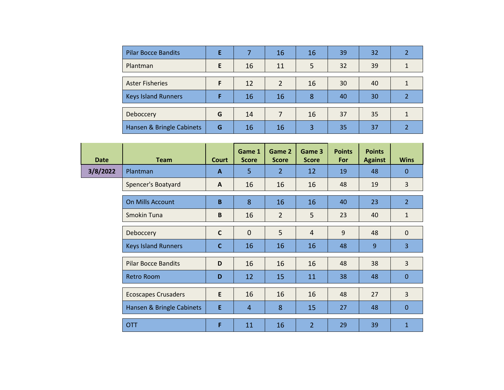| <b>Pilar Bocce Bandits</b> | E |    | 16 | 16 | 39 | 32 |  |
|----------------------------|---|----|----|----|----|----|--|
| Plantman                   | E | 16 | 11 | 5  | 32 | 39 |  |
|                            |   |    |    |    |    |    |  |
| <b>Aster Fisheries</b>     | F | 12 |    | 16 | 30 | 40 |  |
| <b>Keys Island Runners</b> | F | 16 | 16 | 8  | 40 | 30 |  |
|                            |   |    |    |    |    |    |  |
| Deboccery                  | G | 14 |    | 16 | 37 | 35 |  |
| Hansen & Bringle Cabinets  | G | 16 | 16 | 3  | 35 | 37 |  |

| <b>Date</b> | <b>Team</b>                | <b>Court</b> | Game 1<br><b>Score</b> | Game 2<br><b>Score</b> | Game 3<br><b>Score</b> | <b>Points</b><br>For | <b>Points</b><br><b>Against</b> | <b>Wins</b>    |
|-------------|----------------------------|--------------|------------------------|------------------------|------------------------|----------------------|---------------------------------|----------------|
| 3/8/2022    | Plantman                   | $\mathbf{A}$ | 5                      | $\overline{2}$         | 12                     | 19                   | 48                              | $\mathbf{0}$   |
|             | Spencer's Boatyard         | $\mathsf{A}$ | 16                     | 16                     | 16                     | 48                   | 19                              | $\overline{3}$ |
|             | On Mills Account           | B            | 8                      | 16                     | 16                     | 40                   | 23                              | $\overline{2}$ |
|             | Smokin Tuna                | B            | 16                     | $\overline{2}$         | 5                      | 23                   | 40                              | $\mathbf{1}$   |
|             | Deboccery                  | $\mathsf C$  | $\mathbf{0}$           | 5                      | $\overline{4}$         | 9                    | 48                              | $\mathbf 0$    |
|             | <b>Keys Island Runners</b> | $\mathbf C$  | 16                     | 16                     | 16                     | 48                   | 9                               | $\overline{3}$ |
|             | <b>Pilar Bocce Bandits</b> | D            | 16                     | 16                     | 16                     | 48                   | 38                              | 3              |
|             | <b>Retro Room</b>          | D            | 12                     | 15                     | 11                     | 38                   | 48                              | $\mathbf 0$    |
|             | <b>Ecoscapes Crusaders</b> | E            | 16                     | 16                     | 16                     | 48                   | 27                              | $\overline{3}$ |
|             | Hansen & Bringle Cabinets  | E            | $\overline{4}$         | 8                      | 15                     | 27                   | 48                              | $\mathbf 0$    |
|             | <b>OTT</b>                 | F            | 11                     | 16                     | $\overline{2}$         | 29                   | 39                              | $\mathbf{1}$   |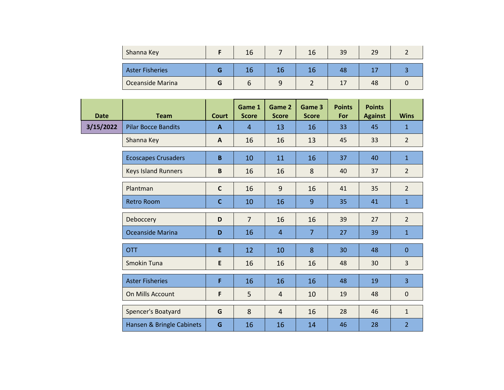| Shanna Key              | 16 | 16 | 39 |    |  |
|-------------------------|----|----|----|----|--|
| <b>Aster Fisheries</b>  |    |    | 48 |    |  |
| <b>Oceanside Marina</b> |    |    |    | 48 |  |

| <b>Date</b> | <b>Team</b>                | <b>Court</b> | Game 1<br><b>Score</b> | Game 2<br><b>Score</b> | Game 3<br><b>Score</b> | <b>Points</b><br>For | <b>Points</b><br><b>Against</b> | <b>Wins</b>    |
|-------------|----------------------------|--------------|------------------------|------------------------|------------------------|----------------------|---------------------------------|----------------|
| 3/15/2022   | <b>Pilar Bocce Bandits</b> | A            | $\overline{4}$         | 13                     | 16                     | 33                   | 45                              | $\mathbf{1}$   |
|             | Shanna Key                 | A            | 16                     | 16                     | 13                     | 45                   | 33                              | $\overline{2}$ |
|             | <b>Ecoscapes Crusaders</b> | $\mathbf{B}$ | 10                     | 11                     | 16                     | 37                   | 40                              | $\mathbf{1}$   |
|             | <b>Keys Island Runners</b> | B            | 16                     | 16                     | 8                      | 40                   | 37                              | $\overline{2}$ |
|             | Plantman                   | $\mathbf{C}$ | 16                     | 9                      | 16                     | 41                   | 35                              | $\overline{2}$ |
|             | <b>Retro Room</b>          | $\mathbf c$  | 10                     | 16                     | 9                      | 35                   | 41                              | $\mathbf{1}$   |
|             | Deboccery                  | D            | $\overline{7}$         | 16                     | 16                     | 39                   | 27                              | $\overline{2}$ |
|             | <b>Oceanside Marina</b>    | D            | 16                     | $\overline{4}$         | $\overline{7}$         | 27                   | 39                              | $\mathbf{1}$   |
|             | <b>OTT</b>                 | E            | 12                     | 10                     | 8                      | 30                   | 48                              | $\mathbf{0}$   |
|             | Smokin Tuna                | E            | 16                     | 16                     | 16                     | 48                   | 30                              | 3              |
|             | <b>Aster Fisheries</b>     | F            | 16                     | 16                     | 16                     | 48                   | 19                              | $\overline{3}$ |
|             | On Mills Account           | F            | 5                      | $\overline{4}$         | 10                     | 19                   | 48                              | $\mathbf{0}$   |
|             | Spencer's Boatyard         | G            | 8                      | $\overline{4}$         | 16                     | 28                   | 46                              | $\mathbf{1}$   |
|             | Hansen & Bringle Cabinets  | G            | 16                     | 16                     | 14                     | 46                   | 28                              | $\overline{2}$ |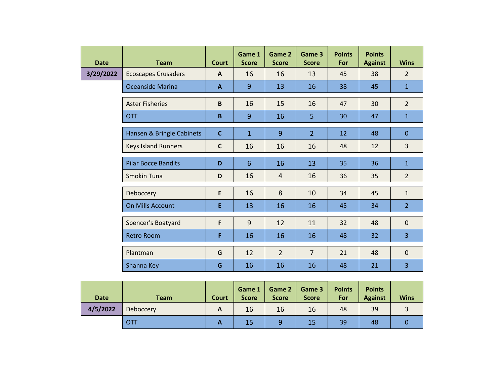| <b>Date</b> | <b>Team</b>                | <b>Court</b> | Game 1<br><b>Score</b> | Game 2<br><b>Score</b> | Game 3<br><b>Score</b> | <b>Points</b><br>For | <b>Points</b><br><b>Against</b> | <b>Wins</b>    |
|-------------|----------------------------|--------------|------------------------|------------------------|------------------------|----------------------|---------------------------------|----------------|
| 3/29/2022   | <b>Ecoscapes Crusaders</b> | $\mathbf{A}$ | 16                     | 16                     | 13                     | 45                   | 38                              | $\overline{2}$ |
|             | Oceanside Marina           | $\mathbf{A}$ | $\overline{9}$         | 13                     | 16                     | 38                   | 45                              | $\mathbf{1}$   |
|             | <b>Aster Fisheries</b>     | B            | 16                     | 15                     | 16                     | 47                   | 30                              | $\overline{2}$ |
|             | <b>OTT</b>                 | B            | $\overline{9}$         | 16                     | 5                      | 30                   | 47                              | $\mathbf{1}$   |
|             | Hansen & Bringle Cabinets  | $\mathbf{C}$ | $\mathbf{1}$           | 9                      | $\overline{2}$         | 12                   | 48                              | $\mathbf 0$    |
|             | <b>Keys Island Runners</b> | $\mathsf{C}$ | 16                     | 16                     | 16                     | 48                   | 12                              | $\overline{3}$ |
|             | <b>Pilar Bocce Bandits</b> | D            | $6\phantom{1}6$        | 16                     | 13                     | 35                   | 36                              | $\mathbf{1}$   |
|             | <b>Smokin Tuna</b>         | D            | 16                     | $\overline{4}$         | 16                     | 36                   | 35                              | $\overline{2}$ |
|             | Deboccery                  | E            | 16                     | 8                      | 10                     | 34                   | 45                              | $\mathbf{1}$   |
|             | <b>On Mills Account</b>    | E            | 13                     | 16                     | 16                     | 45                   | 34                              | $\overline{2}$ |
|             | Spencer's Boatyard         | F            | 9                      | 12                     | 11                     | 32                   | 48                              | $\mathbf{0}$   |
|             | <b>Retro Room</b>          | F            | 16                     | 16                     | 16                     | 48                   | 32                              | 3              |
|             | Plantman                   | G            | 12                     | $\overline{2}$         | $\overline{7}$         | 21                   | 48                              | $\mathbf 0$    |
|             | Shanna Key                 | G            | 16                     | 16                     | 16                     | 48                   | 21                              | 3              |

| <b>Date</b> | <b>Team</b> | <b>Court</b> | Game 1<br><b>Score</b> | Game 2<br><b>Score</b> | Game 3<br><b>Score</b> | <b>Points</b><br>For | <b>Points</b><br><b>Against</b> | <b>Wins</b> |
|-------------|-------------|--------------|------------------------|------------------------|------------------------|----------------------|---------------------------------|-------------|
| 4/5/2022    | Deboccery   | A            | 16                     | 16                     | 16                     | 48                   | 39                              |             |
|             | OTT         | А            | 15                     | 9                      | 15                     | 39                   | 48                              |             |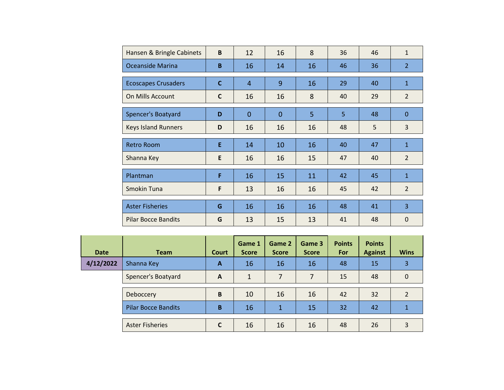| Hansen & Bringle Cabinets  | B           | 12             | 16             | 8  | 36 | 46 | $\mathbf{1}$   |
|----------------------------|-------------|----------------|----------------|----|----|----|----------------|
| <b>Oceanside Marina</b>    | B           | 16             | 14             | 16 | 46 | 36 | $\overline{2}$ |
| <b>Ecoscapes Crusaders</b> | $\mathbf C$ | $\overline{4}$ | 9              | 16 | 29 | 40 | $\mathbf{1}$   |
| On Mills Account           | C           | 16             | 16             | 8  | 40 | 29 | $\overline{2}$ |
| Spencer's Boatyard         | D           | $\overline{0}$ | $\overline{0}$ | 5  | 5  | 48 | $\Omega$       |
| <b>Keys Island Runners</b> | D           | 16             | 16             | 16 | 48 | 5  | 3              |
| <b>Retro Room</b>          | E           | 14             | 10             | 16 | 40 | 47 | $\mathbf{1}$   |
|                            |             |                |                |    |    |    |                |
| Shanna Key                 | E           | 16             | 16             | 15 | 47 | 40 | $\overline{2}$ |
| Plantman                   | F           | 16             | 15             | 11 | 42 | 45 | $\mathbf{1}$   |
| Smokin Tuna                | F           | 13             | 16             | 16 | 45 | 42 | $\overline{2}$ |
| <b>Aster Fisheries</b>     | G           | 16             | 16             | 16 | 48 | 41 | $\overline{3}$ |

| <b>Date</b> | <b>Team</b>                | <b>Court</b> | Game 1<br><b>Score</b> | Game 2<br><b>Score</b> | Game 3<br><b>Score</b> | <b>Points</b><br>For | <b>Points</b><br><b>Against</b> | <b>Wins</b>    |
|-------------|----------------------------|--------------|------------------------|------------------------|------------------------|----------------------|---------------------------------|----------------|
| 4/12/2022   | Shanna Key                 | A            | 16                     | 16                     | 16                     | 48                   | 15                              | 3              |
|             | Spencer's Boatyard         | $\mathsf{A}$ | 1                      | 7                      | 7                      | 15                   | 48                              | $\Omega$       |
|             | Deboccery                  | B            | 10                     | 16                     | 16                     | 42                   | 32                              | $\mathfrak{p}$ |
|             | <b>Pilar Bocce Bandits</b> | B            | 16                     | $\mathbf{1}$           | 15                     | 32                   | 42                              |                |
|             | <b>Aster Fisheries</b>     |              | 16                     | 16                     | 16                     | 48                   | 26                              | 3              |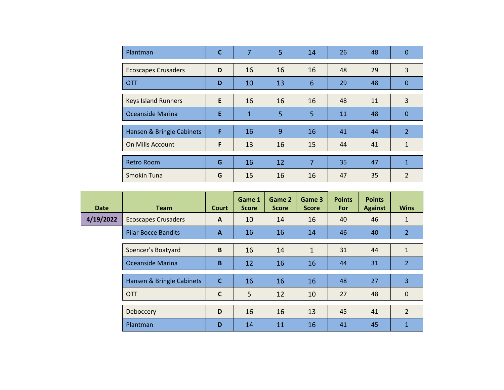| Plantman                   | C | $\overline{7}$ | 5  | 14 | 26 | 48 | $\Omega$       |
|----------------------------|---|----------------|----|----|----|----|----------------|
| <b>Ecoscapes Crusaders</b> | D | 16             | 16 | 16 | 48 | 29 | 3              |
| <b>OTT</b>                 | D | 10             | 13 | 6  | 29 | 48 | $\mathbf{0}$   |
| <b>Keys Island Runners</b> | E | 16             | 16 | 16 | 48 | 11 | 3              |
| Oceanside Marina           | E | $\mathbf 1$    | 5  | 5  | 11 | 48 | $\mathbf 0$    |
| Hansen & Bringle Cabinets  | F | 16             | 9  | 16 | 41 | 44 | $\overline{2}$ |
| On Mills Account           | F | 13             | 16 | 15 | 44 | 41 | $\mathbf{1}$   |
| <b>Retro Room</b>          | G | 16             | 12 | 7  | 35 | 47 | $\mathbf{1}$   |
| Smokin Tuna                | G | 15             | 16 | 16 | 47 | 35 | $\mathfrak{p}$ |

| <b>Date</b> | <b>Team</b>                | <b>Court</b> | Game 1<br><b>Score</b> | Game 2<br><b>Score</b> | Game 3<br><b>Score</b> | <b>Points</b><br>For | <b>Points</b><br><b>Against</b> | <b>Wins</b>    |
|-------------|----------------------------|--------------|------------------------|------------------------|------------------------|----------------------|---------------------------------|----------------|
| 4/19/2022   | <b>Ecoscapes Crusaders</b> | $\mathbf{A}$ | 10                     | 14                     | 16                     | 40                   | 46                              | $\mathbf{1}$   |
|             | <b>Pilar Bocce Bandits</b> | $\mathbf{A}$ | 16                     | 16                     | 14                     | 46                   | 40                              | $\overline{2}$ |
|             | Spencer's Boatyard         | B            | 16                     | 14                     | 1                      | 31                   | 44                              | $\mathbf{1}$   |
|             | Oceanside Marina           | B            | 12                     | 16                     | 16                     | 44                   | 31                              | $\overline{2}$ |
|             | Hansen & Bringle Cabinets  | $\mathbf{C}$ | 16                     | 16                     | 16                     | 48                   | 27                              | 3              |
|             | <b>OTT</b>                 | $\mathsf{C}$ | 5                      | 12                     | 10                     | 27                   | 48                              | $\mathbf{0}$   |
|             | Deboccery                  | D            | 16                     | 16                     | 13                     | 45                   | 41                              | $\overline{2}$ |
|             | Plantman                   | D            | 14                     | 11                     | 16                     | 41                   | 45                              | 1              |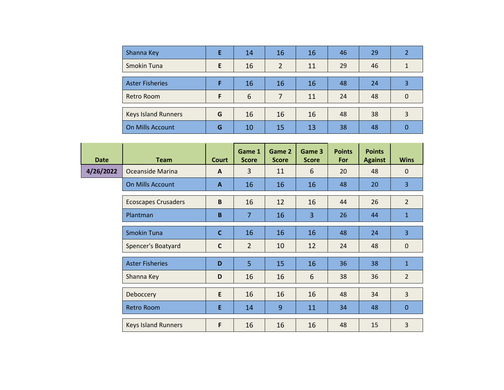| Shanna Key                 | Е | 14 | 16             | 16 | 46 | 29 |   |
|----------------------------|---|----|----------------|----|----|----|---|
| Smokin Tuna                | E | 16 | $\overline{2}$ | 11 | 29 | 46 |   |
|                            |   |    |                |    |    |    |   |
| <b>Aster Fisheries</b>     |   | 16 | 16             | 16 | 48 | 24 | 3 |
| Retro Room                 | F | 6  | 7              | 11 | 24 | 48 | 0 |
|                            |   |    |                |    |    |    |   |
| <b>Keys Island Runners</b> | G | 16 | 16             | 16 | 48 | 38 | 3 |
| On Mills Account           | G | 10 | 15             | 13 | 38 | 48 |   |

| <b>Date</b> | <b>Team</b>                | <b>Court</b> | Game 1<br><b>Score</b> | Game 2<br><b>Score</b> | Game 3<br><b>Score</b> | <b>Points</b><br>For | <b>Points</b><br><b>Against</b> | <b>Wins</b>    |
|-------------|----------------------------|--------------|------------------------|------------------------|------------------------|----------------------|---------------------------------|----------------|
| 4/26/2022   | Oceanside Marina           | $\mathbf{A}$ | 3                      | 11                     | 6                      | 20                   | 48                              | $\mathbf{0}$   |
|             | On Mills Account           | $\mathbf{A}$ | 16                     | 16                     | 16                     | 48                   | 20                              | 3              |
|             | <b>Ecoscapes Crusaders</b> | $\, {\bf B}$ | 16                     | 12                     | 16                     | 44                   | 26                              | $\overline{2}$ |
|             | Plantman                   | B            | $\overline{7}$         | 16                     | $\overline{3}$         | 26                   | 44                              | $\mathbf{1}$   |
|             | <b>Smokin Tuna</b>         | $\mathbf{C}$ | 16                     | 16                     | 16                     | 48                   | 24                              | 3              |
|             | Spencer's Boatyard         | $\mathsf{C}$ | $\overline{2}$         | 10                     | 12                     | 24                   | 48                              | $\mathbf 0$    |
|             | <b>Aster Fisheries</b>     | D            | 5                      | 15                     | 16                     | 36                   | 38                              | $\mathbf{1}$   |
|             | Shanna Key                 | D            | 16                     | 16                     | 6                      | 38                   | 36                              | $\overline{2}$ |
|             | Deboccery                  | E            | 16                     | 16                     | 16                     | 48                   | 34                              | $\overline{3}$ |
|             | <b>Retro Room</b>          | E            | 14                     | 9                      | 11                     | 34                   | 48                              | $\mathbf{0}$   |
|             | <b>Keys Island Runners</b> | F            | 16                     | 16                     | 16                     | 48                   | 15                              | $\overline{3}$ |